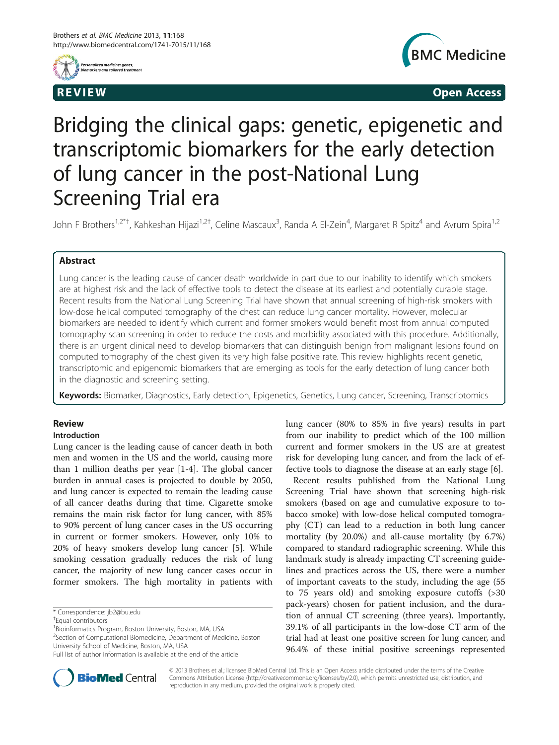



**REVIEW CONSIDERING CONSIDERING CONSIDERING CONSIDERING CONSIDERING CONSIDERING CONSIDERING CONSIDERING CONSIDERING CONSIDERING CONSIDERING CONSIDERING CONSIDERING CONSIDERING CONSIDERING CONSIDERING CONSIDERING CONSIDER** 

# Bridging the clinical gaps: genetic, epigenetic and transcriptomic biomarkers for the early detection of lung cancer in the post-National Lung Screening Trial era

John F Brothers<sup>1,2\*†</sup>, Kahkeshan Hijazi<sup>1,2†</sup>, Celine Mascaux<sup>3</sup>, Randa A El-Zein<sup>4</sup>, Margaret R Spitz<sup>4</sup> and Avrum Spira<sup>1,2</sup>

# Abstract

Lung cancer is the leading cause of cancer death worldwide in part due to our inability to identify which smokers are at highest risk and the lack of effective tools to detect the disease at its earliest and potentially curable stage. Recent results from the National Lung Screening Trial have shown that annual screening of high-risk smokers with low-dose helical computed tomography of the chest can reduce lung cancer mortality. However, molecular biomarkers are needed to identify which current and former smokers would benefit most from annual computed tomography scan screening in order to reduce the costs and morbidity associated with this procedure. Additionally, there is an urgent clinical need to develop biomarkers that can distinguish benign from malignant lesions found on computed tomography of the chest given its very high false positive rate. This review highlights recent genetic, transcriptomic and epigenomic biomarkers that are emerging as tools for the early detection of lung cancer both in the diagnostic and screening setting.

Keywords: Biomarker, Diagnostics, Early detection, Epigenetics, Genetics, Lung cancer, Screening, Transcriptomics

# Review

#### Introduction

Lung cancer is the leading cause of cancer death in both men and women in the US and the world, causing more than 1 million deaths per year [[1](#page-11-0)-[4\]](#page-11-0). The global cancer burden in annual cases is projected to double by 2050, and lung cancer is expected to remain the leading cause of all cancer deaths during that time. Cigarette smoke remains the main risk factor for lung cancer, with 85% to 90% percent of lung cancer cases in the US occurring in current or former smokers. However, only 10% to 20% of heavy smokers develop lung cancer [[5\]](#page-11-0). While smoking cessation gradually reduces the risk of lung cancer, the majority of new lung cancer cases occur in former smokers. The high mortality in patients with

<sup>1</sup> Bioinformatics Program, Boston University, Boston, MA, USA

<sup>2</sup>Section of Computational Biomedicine, Department of Medicine, Boston University School of Medicine, Boston, MA, USA

lung cancer (80% to 85% in five years) results in part from our inability to predict which of the 100 million current and former smokers in the US are at greatest risk for developing lung cancer, and from the lack of effective tools to diagnose the disease at an early stage [\[6\]](#page-11-0).

Recent results published from the National Lung Screening Trial have shown that screening high-risk smokers (based on age and cumulative exposure to tobacco smoke) with low-dose helical computed tomography (CT) can lead to a reduction in both lung cancer mortality (by 20.0%) and all-cause mortality (by 6.7%) compared to standard radiographic screening. While this landmark study is already impacting CT screening guidelines and practices across the US, there were a number of important caveats to the study, including the age (55 to 75 years old) and smoking exposure cutoffs (>30 pack-years) chosen for patient inclusion, and the duration of annual CT screening (three years). Importantly, 39.1% of all participants in the low-dose CT arm of the trial had at least one positive screen for lung cancer, and 96.4% of these initial positive screenings represented



© 2013 Brothers et al.; licensee BioMed Central Ltd. This is an Open Access article distributed under the terms of the Creative Commons Attribution License [\(http://creativecommons.org/licenses/by/2.0\)](http://creativecommons.org/licenses/by/2.0), which permits unrestricted use, distribution, and reproduction in any medium, provided the original work is properly cited.

<sup>\*</sup> Correspondence: [jb2@bu.edu](mailto:jb2@bu.edu) †

Equal contributors

Full list of author information is available at the end of the article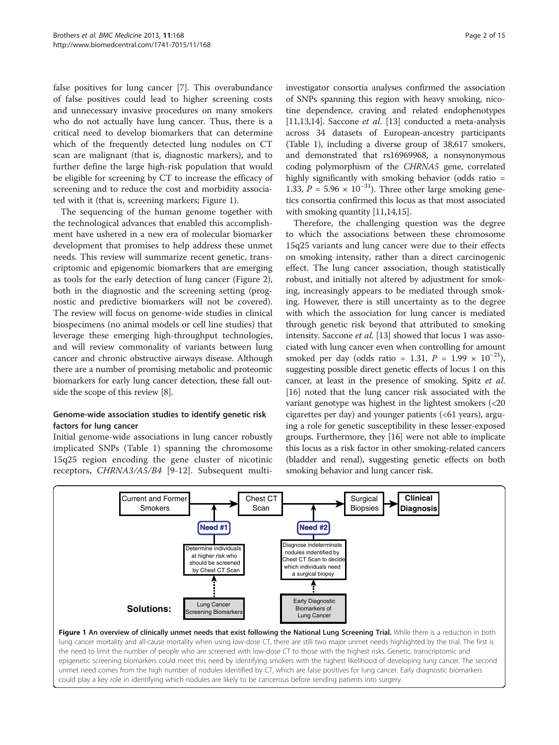<span id="page-1-0"></span>false positives for lung cancer [[7](#page-11-0)]. This overabundance of false positives could lead to higher screening costs and unnecessary invasive procedures on many smokers who do not actually have lung cancer. Thus, there is a critical need to develop biomarkers that can determine which of the frequently detected lung nodules on CT scan are malignant (that is, diagnostic markers), and to further define the large high-risk population that would be eligible for screening by CT to increase the efficacy of screening and to reduce the cost and morbidity associated with it (that is, screening markers; Figure 1).

The sequencing of the human genome together with the technological advances that enabled this accomplishment have ushered in a new era of molecular biomarker development that promises to help address these unmet needs. This review will summarize recent genetic, transcriptomic and epigenomic biomarkers that are emerging as tools for the early detection of lung cancer (Figure [2](#page-2-0)), both in the diagnostic and the screening setting (prognostic and predictive biomarkers will not be covered). The review will focus on genome-wide studies in clinical biospecimens (no animal models or cell line studies) that leverage these emerging high-throughput technologies, and will review commonality of variants between lung cancer and chronic obstructive airways disease. Although there are a number of promising metabolic and proteomic biomarkers for early lung cancer detection, these fall outside the scope of this review [[8](#page-11-0)].

## Genome-wide association studies to identify genetic risk factors for lung cancer

Initial genome-wide associations in lung cancer robustly implicated SNPs (Table [1\)](#page-3-0) spanning the chromosome 15q25 region encoding the gene cluster of nicotinic receptors, CHRNA3/A5/B4 [\[9](#page-11-0)-[12\]](#page-11-0). Subsequent multiinvestigator consortia analyses confirmed the association of SNPs spanning this region with heavy smoking, nicotine dependence, craving and related endophenotypes [[11](#page-11-0),[13,14\]](#page-11-0). Saccone et al. [\[13\]](#page-11-0) conducted a meta-analysis across 34 datasets of European-ancestry participants (Table [1\)](#page-3-0), including a diverse group of 38,617 smokers, and demonstrated that rs16969968, a nonsynonymous coding polymorphism of the CHRNA5 gene, correlated highly significantly with smoking behavior (odds ratio = 1.33,  $P = 5.96 \times 10^{-31}$ ). Three other large smoking genetics consortia confirmed this locus as that most associated with smoking quantity [\[11,14,15](#page-11-0)].

Therefore, the challenging question was the degree to which the associations between these chromosome 15q25 variants and lung cancer were due to their effects on smoking intensity, rather than a direct carcinogenic effect. The lung cancer association, though statistically robust, and initially not altered by adjustment for smoking, increasingly appears to be mediated through smoking. However, there is still uncertainty as to the degree with which the association for lung cancer is mediated through genetic risk beyond that attributed to smoking intensity. Saccone et al. [[13](#page-11-0)] showed that locus 1 was associated with lung cancer even when controlling for amount smoked per day (odds ratio = 1.31,  $P = 1.99 \times 10^{-21}$ ), suggesting possible direct genetic effects of locus 1 on this cancer, at least in the presence of smoking. Spitz et al. [[16](#page-11-0)] noted that the lung cancer risk associated with the variant genotype was highest in the lightest smokers (<20 cigarettes per day) and younger patients  $( $61$  years), argu$ ing a role for genetic susceptibility in these lesser-exposed groups. Furthermore, they [[16](#page-11-0)] were not able to implicate this locus as a risk factor in other smoking-related cancers (bladder and renal), suggesting genetic effects on both smoking behavior and lung cancer risk.



Figure 1 An overview of clinically unmet needs that exist following the National Lung Screening Trial. While there is a reduction in both lung cancer mortality and all-cause mortality when using low-dose CT, there are still two major unmet needs highlighted by the trial. The first is the need to limit the number of people who are screened with low-dose CT to those with the highest risks. Genetic, transcriptomic and epigenetic screening biomarkers could meet this need by identifying smokers with the highest likelihood of developing lung cancer. The second unmet need comes from the high number of nodules identified by CT, which are false positives for lung cancer. Early diagnostic biomarkers could play a key role in identifying which nodules are likely to be cancerous before sending patients into surgery.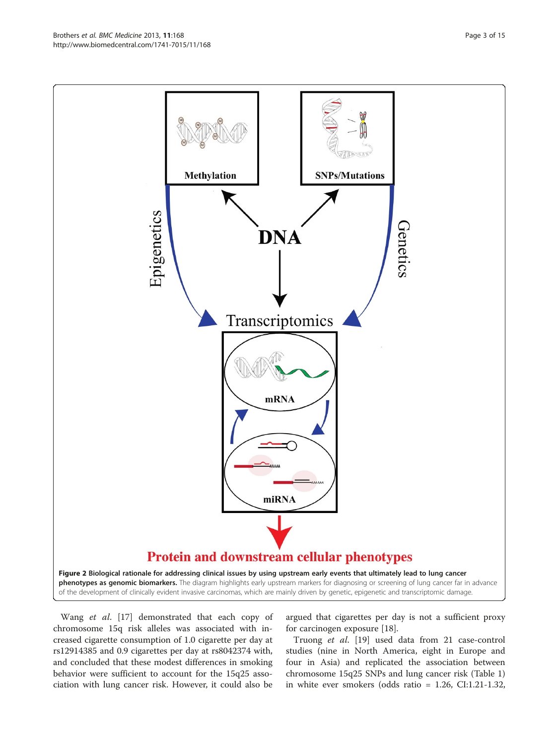Wang et al. [[17](#page-11-0)] demonstrated that each copy of chromosome 15q risk alleles was associated with increased cigarette consumption of 1.0 cigarette per day at rs12914385 and 0.9 cigarettes per day at rs8042374 with, and concluded that these modest differences in smoking behavior were sufficient to account for the 15q25 association with lung cancer risk. However, it could also be

argued that cigarettes per day is not a sufficient proxy for carcinogen exposure [[18](#page-11-0)].

Truong et al. [\[19](#page-11-0)] used data from 21 case-control studies (nine in North America, eight in Europe and four in Asia) and replicated the association between chromosome 15q25 SNPs and lung cancer risk (Table [1](#page-3-0)) in white ever smokers (odds ratio = 1.26, CI:1.21-1.32,

<span id="page-2-0"></span>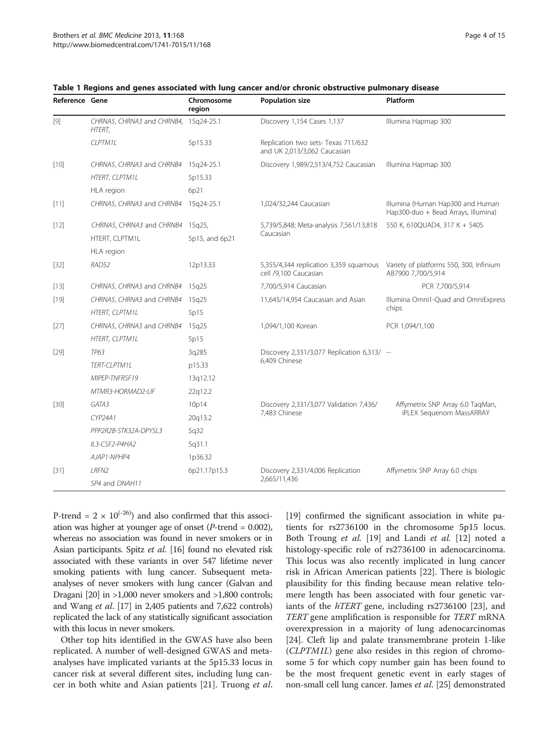| Reference Gene |                                                 | Chromosome<br>region | <b>Population size</b>                                              | Platform                                                                |  |
|----------------|-------------------------------------------------|----------------------|---------------------------------------------------------------------|-------------------------------------------------------------------------|--|
| $[9]$          | CHRNA5, CHRNA3 and CHRNB4, 15q24-25.1<br>HTERT, |                      | Discovery 1,154 Cases 1,137                                         | Illumina Hapmap 300                                                     |  |
|                | CLPTM1L                                         | 5p15.33              | Replication two sets- Texas 711/632<br>and UK 2,013/3,062 Caucasian |                                                                         |  |
| $[10]$         | CHRNA5, CHRNA3 and CHRNB4                       | 15q24-25.1           | Discovery 1,989/2,513/4,752 Caucasian                               | Illumina Hapmap 300                                                     |  |
|                | HTERT, CLPTM1L                                  | 5p15.33              |                                                                     |                                                                         |  |
|                | HLA region                                      | 6p21                 |                                                                     |                                                                         |  |
| [11]           | CHRNA5, CHRNA3 and CHRNB4 15q24-25.1            |                      | 1,024/32,244 Caucasian                                              | Illumina (Human Hap300 and Human<br>Hap300-duo + Bead Arrays, Illumina) |  |
| $[12]$         | CHRNA5, CHRNA3 and CHRNB4                       | 15q25,               | 5,739/5,848; Meta-analysis 7,561/13,818                             | 550 K, 610QUAD4, 317 K + 540S                                           |  |
|                | HTERT, CLPTM1L                                  | 5p15, and 6p21       | Caucasian                                                           |                                                                         |  |
|                | HLA region                                      |                      |                                                                     |                                                                         |  |
| [32]           | RAD52                                           | 12p13.33             | 5,355/4,344 replication 3,359 squamous<br>cell /9,100 Caucasian     | Variety of platforms 550, 300, Infinium<br>AB7900 7,700/5,914           |  |
| $[13]$         | CHRNA5, CHRNA3 and CHRNB4                       | 15g25                | 7,700/5,914 Caucasian                                               | PCR 7,700/5,914                                                         |  |
| $[19]$         | CHRNA5, CHRNA3 and CHRNB4                       | 15q25                | 11,645/14,954 Caucasian and Asian                                   | Illumina Omni1-Quad and OmniExpress<br>chips                            |  |
|                | <b>HTERT, CLPTM1L</b>                           | 5p15                 |                                                                     |                                                                         |  |
| $[27]$         | CHRNA5, CHRNA3 and CHRNB4                       | 15q25                | 1,094/1,100 Korean                                                  | PCR 1,094/1,100                                                         |  |
|                | HTERT, CLPTM1L                                  | 5p15                 |                                                                     |                                                                         |  |
| $[29]$         | <b>TP63</b>                                     | 3q285                | Discovery 2,331/3,077 Replication 6,313/ --                         |                                                                         |  |
|                | <b>TERT-CLPTM1L</b>                             | p15.33               | 6,409 Chinese                                                       |                                                                         |  |
|                | MIPEP-TNFRSF19                                  | 13q12.12             |                                                                     |                                                                         |  |
|                | MTMR3-HORMAD2-LIF                               | 22q12.2              |                                                                     |                                                                         |  |
| $[30]$         | GATA3                                           | 10p14                | Discovery 2,331/3,077 Validation 7,436/<br>7,483 Chinese            | Affymetrix SNP Array 6.0 TagMan,<br><b>iPLEX Sequenom MassARRAY</b>     |  |
|                | <b>CYP24A1</b>                                  | 20q13.2              |                                                                     |                                                                         |  |
|                | PPP2R2B-STK32A-DPYSL3                           | 5q32                 |                                                                     |                                                                         |  |
|                | IL3-CSF2-P4HA2                                  | 5q31.1               |                                                                     |                                                                         |  |
|                | AJAP1-NPHP4                                     | 1p36.32              |                                                                     |                                                                         |  |
| $[31]$         | LRFN <sub>2</sub>                               | 6p21.17p15.3         | Discovery 2,331/4,006 Replication<br>2,665/11,436                   | Affymetrix SNP Array 6.0 chips                                          |  |
|                | SP4 and DNAH11                                  |                      |                                                                     |                                                                         |  |

<span id="page-3-0"></span>Table 1 Regions and genes associated with lung cancer and/or chronic obstructive pulmonary disease

P-trend =  $2 \times 10^{(-26)}$ ) and also confirmed that this association was higher at younger age of onset ( $P$ -trend = 0.002), whereas no association was found in never smokers or in Asian participants. Spitz et al. [\[16\]](#page-11-0) found no elevated risk associated with these variants in over 547 lifetime never smoking patients with lung cancer. Subsequent metaanalyses of never smokers with lung cancer (Galvan and Dragani [\[20](#page-11-0)] in >1,000 never smokers and >1,800 controls; and Wang et al. [\[17](#page-11-0)] in 2,405 patients and 7,622 controls) replicated the lack of any statistically significant association with this locus in never smokers.

Other top hits identified in the GWAS have also been replicated. A number of well-designed GWAS and metaanalyses have implicated variants at the 5p15.33 locus in cancer risk at several different sites, including lung cancer in both white and Asian patients [[21](#page-11-0)]. Truong et al.

[[19\]](#page-11-0) confirmed the significant association in white patients for rs2736100 in the chromosome 5p15 locus. Both Troung et al. [\[19](#page-11-0)] and Landi et al. [[12](#page-11-0)] noted a histology-specific role of rs2736100 in adenocarcinoma. This locus was also recently implicated in lung cancer risk in African American patients [\[22](#page-11-0)]. There is biologic plausibility for this finding because mean relative telomere length has been associated with four genetic variants of the hTERT gene, including rs2736100 [\[23](#page-11-0)], and TERT gene amplification is responsible for TERT mRNA overexpression in a majority of lung adenocarcinomas [[24\]](#page-11-0). Cleft lip and palate transmembrane protein 1-like (CLPTM1L) gene also resides in this region of chromosome 5 for which copy number gain has been found to be the most frequent genetic event in early stages of non-small cell lung cancer. James et al. [[25](#page-11-0)] demonstrated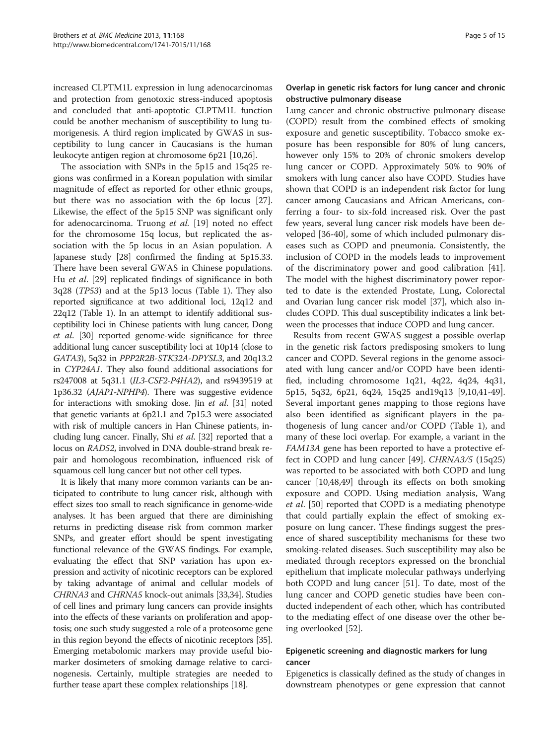increased CLPTM1L expression in lung adenocarcinomas and protection from genotoxic stress-induced apoptosis and concluded that anti-apoptotic CLPTM1L function could be another mechanism of susceptibility to lung tumorigenesis. A third region implicated by GWAS in susceptibility to lung cancer in Caucasians is the human leukocyte antigen region at chromosome 6p21 [[10,26\]](#page-11-0).

The association with SNPs in the 5p15 and 15q25 regions was confirmed in a Korean population with similar magnitude of effect as reported for other ethnic groups, but there was no association with the 6p locus [\[27](#page-11-0)]. Likewise, the effect of the 5p15 SNP was significant only for adenocarcinoma. Truong et al. [\[19](#page-11-0)] noted no effect for the chromosome 15q locus, but replicated the association with the 5p locus in an Asian population. A Japanese study [[28\]](#page-11-0) confirmed the finding at 5p15.33. There have been several GWAS in Chinese populations. Hu et al. [\[29\]](#page-11-0) replicated findings of significance in both 3q28 (TP53) and at the 5p13 locus (Table [1](#page-3-0)). They also reported significance at two additional loci, 12q12 and 22q12 (Table [1\)](#page-3-0). In an attempt to identify additional susceptibility loci in Chinese patients with lung cancer, Dong et al. [\[30\]](#page-12-0) reported genome-wide significance for three additional lung cancer susceptibility loci at 10p14 (close to GATA3), 5q32 in PPP2R2B-STK32A-DPYSL3, and 20q13.2 in CYP24A1. They also found additional associations for rs247008 at 5q31.1 (IL3-CSF2-P4HA2), and rs9439519 at 1p36.32 (AJAP1-NPHP4). There was suggestive evidence for interactions with smoking dose. Jin et al. [[31](#page-12-0)] noted that genetic variants at 6p21.1 and 7p15.3 were associated with risk of multiple cancers in Han Chinese patients, including lung cancer. Finally, Shi et al. [\[32\]](#page-12-0) reported that a locus on RAD52, involved in DNA double-strand break repair and homologous recombination, influenced risk of squamous cell lung cancer but not other cell types.

It is likely that many more common variants can be anticipated to contribute to lung cancer risk, although with effect sizes too small to reach significance in genome-wide analyses. It has been argued that there are diminishing returns in predicting disease risk from common marker SNPs, and greater effort should be spent investigating functional relevance of the GWAS findings. For example, evaluating the effect that SNP variation has upon expression and activity of nicotinic receptors can be explored by taking advantage of animal and cellular models of CHRNA3 and CHRNA5 knock-out animals [\[33,34](#page-12-0)]. Studies of cell lines and primary lung cancers can provide insights into the effects of these variants on proliferation and apoptosis; one such study suggested a role of a proteosome gene in this region beyond the effects of nicotinic receptors [[35](#page-12-0)]. Emerging metabolomic markers may provide useful biomarker dosimeters of smoking damage relative to carcinogenesis. Certainly, multiple strategies are needed to further tease apart these complex relationships [\[18\]](#page-11-0).

# Overlap in genetic risk factors for lung cancer and chronic obstructive pulmonary disease

Lung cancer and chronic obstructive pulmonary disease (COPD) result from the combined effects of smoking exposure and genetic susceptibility. Tobacco smoke exposure has been responsible for 80% of lung cancers, however only 15% to 20% of chronic smokers develop lung cancer or COPD. Approximately 50% to 90% of smokers with lung cancer also have COPD. Studies have shown that COPD is an independent risk factor for lung cancer among Caucasians and African Americans, conferring a four- to six-fold increased risk. Over the past few years, several lung cancer risk models have been developed [\[36](#page-12-0)-[40\]](#page-12-0), some of which included pulmonary diseases such as COPD and pneumonia. Consistently, the inclusion of COPD in the models leads to improvement of the discriminatory power and good calibration [\[41](#page-12-0)]. The model with the highest discriminatory power reported to date is the extended Prostate, Lung, Colorectal and Ovarian lung cancer risk model [\[37\]](#page-12-0), which also includes COPD. This dual susceptibility indicates a link between the processes that induce COPD and lung cancer.

Results from recent GWAS suggest a possible overlap in the genetic risk factors predisposing smokers to lung cancer and COPD. Several regions in the genome associated with lung cancer and/or COPD have been identified, including chromosome 1q21, 4q22, 4q24, 4q31, 5p15, 5q32, 6p21, 6q24, 15q25 and19q13 [\[9,10,](#page-11-0)[41-49](#page-12-0)]. Several important genes mapping to those regions have also been identified as significant players in the pathogenesis of lung cancer and/or COPD (Table [1](#page-3-0)), and many of these loci overlap. For example, a variant in the FAM13A gene has been reported to have a protective effect in COPD and lung cancer [\[49](#page-12-0)]. CHRNA3/5 (15q25) was reported to be associated with both COPD and lung cancer [[10](#page-11-0),[48](#page-12-0),[49](#page-12-0)] through its effects on both smoking exposure and COPD. Using mediation analysis, Wang et al. [[50](#page-12-0)] reported that COPD is a mediating phenotype that could partially explain the effect of smoking exposure on lung cancer. These findings suggest the presence of shared susceptibility mechanisms for these two smoking-related diseases. Such susceptibility may also be mediated through receptors expressed on the bronchial epithelium that implicate molecular pathways underlying both COPD and lung cancer [\[51](#page-12-0)]. To date, most of the lung cancer and COPD genetic studies have been conducted independent of each other, which has contributed to the mediating effect of one disease over the other being overlooked [\[52](#page-12-0)].

# Epigenetic screening and diagnostic markers for lung cancer

Epigenetics is classically defined as the study of changes in downstream phenotypes or gene expression that cannot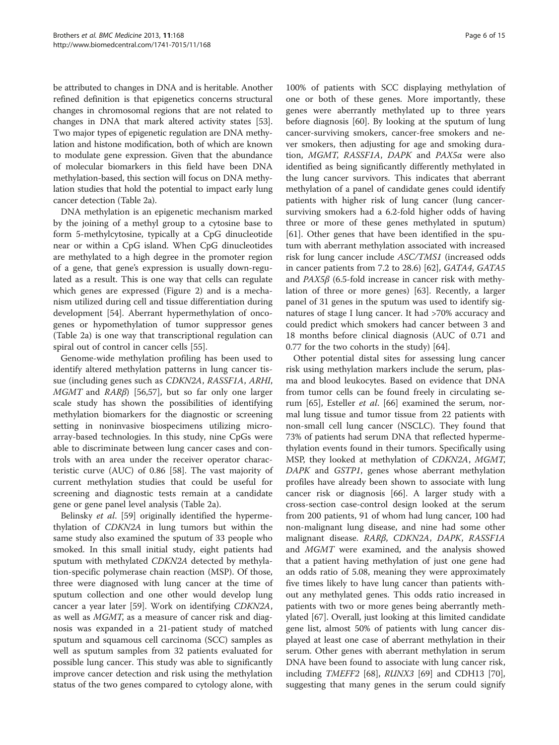be attributed to changes in DNA and is heritable. Another refined definition is that epigenetics concerns structural changes in chromosomal regions that are not related to changes in DNA that mark altered activity states [[53](#page-12-0)]. Two major types of epigenetic regulation are DNA methylation and histone modification, both of which are known to modulate gene expression. Given that the abundance of molecular biomarkers in this field have been DNA methylation-based, this section will focus on DNA methylation studies that hold the potential to impact early lung cancer detection (Table [2a](#page-6-0)).

DNA methylation is an epigenetic mechanism marked by the joining of a methyl group to a cytosine base to form 5-methylcytosine, typically at a CpG dinucleotide near or within a CpG island. When CpG dinucleotides are methylated to a high degree in the promoter region of a gene, that gene's expression is usually down-regulated as a result. This is one way that cells can regulate which genes are expressed (Figure [2\)](#page-2-0) and is a mechanism utilized during cell and tissue differentiation during development [\[54\]](#page-12-0). Aberrant hypermethylation of oncogenes or hypomethylation of tumor suppressor genes (Table [2](#page-6-0)a) is one way that transcriptional regulation can spiral out of control in cancer cells [\[55\]](#page-12-0).

Genome-wide methylation profiling has been used to identify altered methylation patterns in lung cancer tissue (including genes such as CDKN2A, RASSF1A, ARHI,  $MGMT$  and  $RAR\beta$  [[56,57\]](#page-12-0), but so far only one larger scale study has shown the possibilities of identifying methylation biomarkers for the diagnostic or screening setting in noninvasive biospecimens utilizing microarray-based technologies. In this study, nine CpGs were able to discriminate between lung cancer cases and controls with an area under the receiver operator characteristic curve (AUC) of 0.86 [[58\]](#page-12-0). The vast majority of current methylation studies that could be useful for screening and diagnostic tests remain at a candidate gene or gene panel level analysis (Table [2a](#page-6-0)).

Belinsky et al. [\[59\]](#page-12-0) originally identified the hypermethylation of CDKN2A in lung tumors but within the same study also examined the sputum of 33 people who smoked. In this small initial study, eight patients had sputum with methylated CDKN2A detected by methylation-specific polymerase chain reaction (MSP). Of those, three were diagnosed with lung cancer at the time of sputum collection and one other would develop lung cancer a year later [\[59](#page-12-0)]. Work on identifying CDKN2A, as well as MGMT, as a measure of cancer risk and diagnosis was expanded in a 21-patient study of matched sputum and squamous cell carcinoma (SCC) samples as well as sputum samples from 32 patients evaluated for possible lung cancer. This study was able to significantly improve cancer detection and risk using the methylation status of the two genes compared to cytology alone, with

100% of patients with SCC displaying methylation of one or both of these genes. More importantly, these genes were aberrantly methylated up to three years before diagnosis [[60](#page-12-0)]. By looking at the sputum of lung cancer-surviving smokers, cancer-free smokers and never smokers, then adjusting for age and smoking duration, MGMT, RASSF1A, DAPK and PAX5α were also identified as being significantly differently methylated in the lung cancer survivors. This indicates that aberrant methylation of a panel of candidate genes could identify patients with higher risk of lung cancer (lung cancersurviving smokers had a 6.2-fold higher odds of having three or more of these genes methylated in sputum) [[61\]](#page-12-0). Other genes that have been identified in the sputum with aberrant methylation associated with increased risk for lung cancer include ASC/TMS1 (increased odds in cancer patients from 7.2 to 28.6) [[62\]](#page-12-0), GATA4, GATA5 and  $PAX5\beta$  (6.5-fold increase in cancer risk with methylation of three or more genes) [\[63](#page-12-0)]. Recently, a larger panel of 31 genes in the sputum was used to identify signatures of stage I lung cancer. It had >70% accuracy and could predict which smokers had cancer between 3 and 18 months before clinical diagnosis (AUC of 0.71 and 0.77 for the two cohorts in the study) [[64](#page-13-0)].

Other potential distal sites for assessing lung cancer risk using methylation markers include the serum, plasma and blood leukocytes. Based on evidence that DNA from tumor cells can be found freely in circulating se-rum [\[65](#page-13-0)], Esteller *et al.* [[66](#page-13-0)] examined the serum, normal lung tissue and tumor tissue from 22 patients with non-small cell lung cancer (NSCLC). They found that 73% of patients had serum DNA that reflected hypermethylation events found in their tumors. Specifically using MSP, they looked at methylation of CDKN2A, MGMT, DAPK and GSTP1, genes whose aberrant methylation profiles have already been shown to associate with lung cancer risk or diagnosis [\[66](#page-13-0)]. A larger study with a cross-section case-control design looked at the serum from 200 patients, 91 of whom had lung cancer, 100 had non-malignant lung disease, and nine had some other malignant disease. RARβ, CDKN2A, DAPK, RASSF1A and MGMT were examined, and the analysis showed that a patient having methylation of just one gene had an odds ratio of 5.08, meaning they were approximately five times likely to have lung cancer than patients without any methylated genes. This odds ratio increased in patients with two or more genes being aberrantly methylated [\[67\]](#page-13-0). Overall, just looking at this limited candidate gene list, almost 50% of patients with lung cancer displayed at least one case of aberrant methylation in their serum. Other genes with aberrant methylation in serum DNA have been found to associate with lung cancer risk, including  $TMEFF2$  [\[68](#page-13-0)],  $RUNX3$  [[69](#page-13-0)] and CDH13 [\[70](#page-13-0)], suggesting that many genes in the serum could signify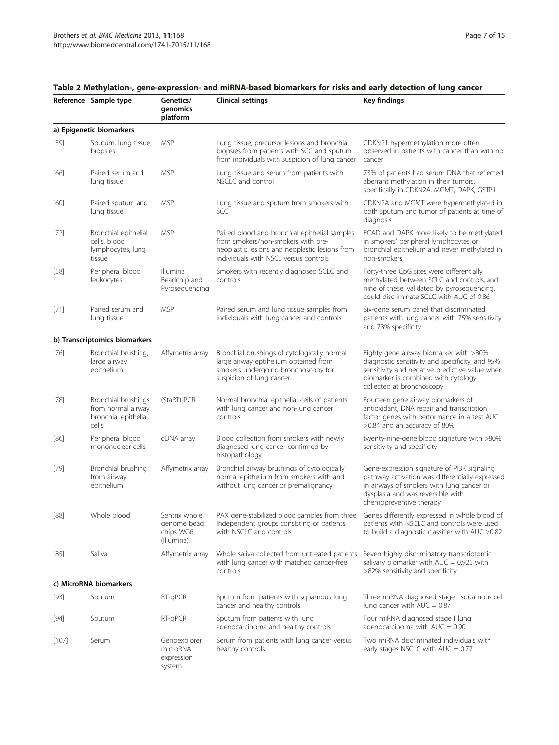|         | Reference Sample type                                                      | Genetics/<br>genomics<br>platform                       | <b>Clinical settings</b>                                                                                                                                                       | <b>Key findings</b>                                                                                                                                                                                             |
|---------|----------------------------------------------------------------------------|---------------------------------------------------------|--------------------------------------------------------------------------------------------------------------------------------------------------------------------------------|-----------------------------------------------------------------------------------------------------------------------------------------------------------------------------------------------------------------|
|         | a) Epigenetic biomarkers                                                   |                                                         |                                                                                                                                                                                |                                                                                                                                                                                                                 |
| $[59]$  | Sputum, lung tissue,<br>biopsies                                           | <b>MSP</b>                                              | Lung tissue, precursor lesions and bronchial<br>biopsies from patients with SCC and sputum<br>from individuals with suspicion of lung cancer                                   | CDKN21 hypermethylation more often<br>observed in patients with cancer than with no<br>cancer                                                                                                                   |
| [66]    | Paired serum and<br>lung tissue                                            | <b>MSP</b>                                              | Lung tissue and serum from patients with<br>NSCLC and control                                                                                                                  | 73% of patients had serum DNA that reflected<br>aberrant methylation in their tumors,<br>specifically in CDKN2A, MGMT, DAPK, GSTP1                                                                              |
| [60]    | Paired sputum and<br>lung tissue                                           | <b>MSP</b>                                              | Lung tissue and sputum from smokers with<br><b>SCC</b>                                                                                                                         | CDKN2A and MGMT were hypermethylated in<br>both sputum and tumor of patients at time of<br>diagnosis                                                                                                            |
| $[72]$  | Bronchial epithelial<br>cells, blood<br>lymphocytes, lung<br>tissue        | <b>MSP</b>                                              | Paired blood and bronchial epithelial samples<br>from smokers/non-smokers with pre-<br>neoplastic lesions and neoplastic lesions from<br>individuals with NSCL versus controls | ECAD and DAPK more likely to be methylated<br>in smokers' peripheral lymphocytes or<br>bronchial epithelium and never methylated in<br>non-smokers                                                              |
| $[58]$  | Peripheral blood<br>leukocytes                                             | Illumina<br>Beadchip and<br>Pyrosequencing              | Smokers with recently diagnosed SCLC and<br>controls                                                                                                                           | Forty-three CpG sites were differentially<br>methylated between SCLC and controls, and<br>nine of these, validated by pyrosequencing,<br>could discriminate SCLC with AUC of 0.86                               |
| $[71]$  | Paired serum and<br>lung tissue                                            | <b>MSP</b>                                              | Paired serum and lung tissue samples from<br>individuals with lung cancer and controls                                                                                         | Six-gene serum panel that discriminated<br>patients with lung cancer with 75% sensitivity<br>and 73% specificity                                                                                                |
|         | b) Transcriptomics biomarkers                                              |                                                         |                                                                                                                                                                                |                                                                                                                                                                                                                 |
| $[76]$  | Bronchial brushing,<br>large airway<br>epithelium                          | Affymetrix array                                        | Bronchial brushings of cytologically normal<br>large airway eptihelium obtained from<br>smokers undergoing bronchoscopy for<br>suspicion of lung cancer                        | Eighty gene airway biomarker with >80%<br>diagnostic sensitivity and specificity, and 95%<br>sensitivity and negative predictive value when<br>biomarker is combined with cytology<br>collected at bronchoscopy |
| $[78]$  | Bronchial brushings<br>from normal airway<br>bronchial epithelial<br>cells | (StaRT)-PCR                                             | Normal bronchial epithelial cells of patients<br>with lung cancer and non-lung cancer<br>controls                                                                              | Fourteen gene airway biomarkers of<br>antioxidant, DNA repair and transcription<br>factor genes with performance in a test AUC<br>>0.84 and an accuracy of 80%                                                  |
| $[86]$  | Peripheral blood<br>mononuclear cells                                      | cDNA array                                              | Blood collection from smokers with newly<br>diagnosed lung cancer confirmed by<br>histopathology                                                                               | twenty-nine-gene blood signature with >80%<br>sensitivity and specificity                                                                                                                                       |
| $[79]$  | Bronchial brushing<br>from airway<br>epithelium                            | Affymetrix array                                        | Bronchial airway brushings of cytologically<br>normal epithelium from smokers with and<br>without lung cancer or premalignancy                                                 | Gene-expression signature of PI3K signaling<br>pathway activation was differentially expressed<br>in airways of smokers with lung cancer or<br>dysplasia and was reversible with<br>chemopreventive therapy     |
| $[88]$  | Whole blood                                                                | Sentrix whole<br>genome bead<br>chips WG6<br>(Illumina) | PAX gene-stabilized blood samples from three<br>independent groups consisting of patients<br>with NSCLC and controls                                                           | Genes differently expressed in whole blood of<br>patients with NSCLC and controls were used<br>to build a diagnostic classifier with AUC > 0.82                                                                 |
| $[85]$  | Saliva                                                                     | Affymetrix array                                        | Whole saliva collected from untreated patients<br>with lung cancer with matched cancer-free<br>controls                                                                        | Seven highly discriminatory transcriptomic<br>salivary biomarker with $AUC = 0.925$ with<br>>82% sensitivity and specificity                                                                                    |
|         | c) MicroRNA biomarkers                                                     |                                                         |                                                                                                                                                                                |                                                                                                                                                                                                                 |
| $[93]$  | Sputum                                                                     | RT-gPCR                                                 | Sputum from patients with squamous lung<br>cancer and healthy controls                                                                                                         | Three miRNA diagnosed stage I squamous cell<br>lung cancer with $AUC = 0.87$                                                                                                                                    |
| [94]    | Sputum                                                                     | RT-qPCR                                                 | Sputum from patients with lung<br>adenocarcinoma and healthy controls                                                                                                          | Four miRNA diagnosed stage I lung<br>adenocarcinoma with $AUC = 0.90$                                                                                                                                           |
| $[107]$ | Serum                                                                      | Genoexplorer<br>microRNA<br>expression<br>system        | Serum from patients with lung cancer versus<br>healthy controls                                                                                                                | Two miRNA discriminated individuals with<br>early stages NSCLC with $AUC = 0.77$                                                                                                                                |

# <span id="page-6-0"></span>Table 2 Methylation-, gene-expression- and miRNA-based biomarkers for risks and early detection of lung cancer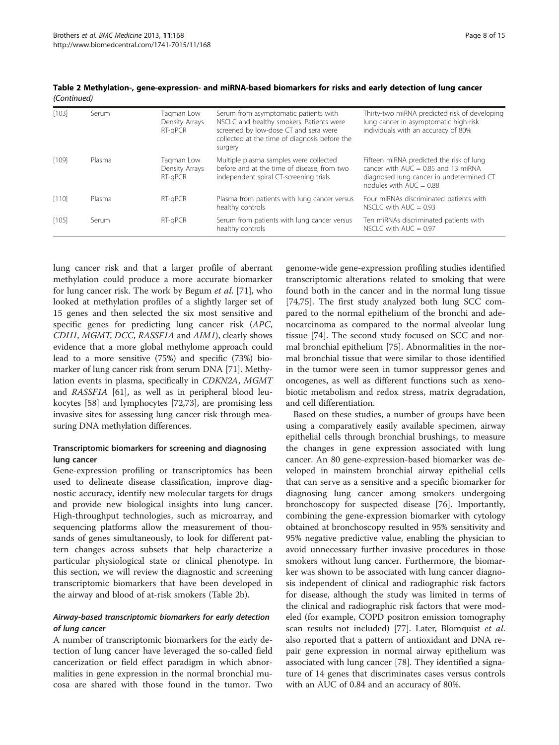Table 2 Methylation-, gene-expression- and miRNA-based biomarkers for risks and early detection of lung cancer (Continued)

| [103]   | Serum  | Tagman Low<br>Density Arrays<br>RT-gPCR | Serum from asymptomatic patients with<br>NSCLC and healthy smokers. Patients were<br>screened by low-dose CT and sera were<br>collected at the time of diagnosis before the<br>surgery | Thirty-two miRNA predicted risk of developing<br>lung cancer in asymptomatic high-risk<br>individuals with an accuracy of 80%                              |
|---------|--------|-----------------------------------------|----------------------------------------------------------------------------------------------------------------------------------------------------------------------------------------|------------------------------------------------------------------------------------------------------------------------------------------------------------|
| $[109]$ | Plasma | Tagman Low<br>Density Arrays<br>RT-gPCR | Multiple plasma samples were collected<br>before and at the time of disease, from two<br>independent spiral CT-screening trials                                                        | Fifteen miRNA predicted the risk of lung<br>cancer with $AUC = 0.85$ and 13 miRNA<br>diagnosed lung cancer in undetermined CT<br>nodules with $AUC = 0.88$ |
| [110]   | Plasma | RT-gPCR                                 | Plasma from patients with lung cancer versus<br>healthy controls                                                                                                                       | Four miRNAs discriminated patients with<br>NSCLC with AUC = $0.93$                                                                                         |
| [105]   | Serum  | RT-gPCR                                 | Serum from patients with lung cancer versus<br>healthy controls                                                                                                                        | Ten miRNAs discriminated patients with<br>NSCLC with $AUC = 0.97$                                                                                          |

lung cancer risk and that a larger profile of aberrant methylation could produce a more accurate biomarker for lung cancer risk. The work by Begum et al. [\[71\]](#page-13-0), who looked at methylation profiles of a slightly larger set of 15 genes and then selected the six most sensitive and specific genes for predicting lung cancer risk (APC, CDH1, MGMT, DCC, RASSF1A and AIM1), clearly shows evidence that a more global methylome approach could lead to a more sensitive (75%) and specific (73%) biomarker of lung cancer risk from serum DNA [\[71](#page-13-0)]. Methylation events in plasma, specifically in CDKN2A, MGMT and RASSF1A [[61](#page-12-0)], as well as in peripheral blood leukocytes [\[58\]](#page-12-0) and lymphocytes [\[72,73\]](#page-13-0), are promising less invasive sites for assessing lung cancer risk through measuring DNA methylation differences.

# Transcriptomic biomarkers for screening and diagnosing lung cancer

Gene-expression profiling or transcriptomics has been used to delineate disease classification, improve diagnostic accuracy, identify new molecular targets for drugs and provide new biological insights into lung cancer. High-throughput technologies, such as microarray, and sequencing platforms allow the measurement of thousands of genes simultaneously, to look for different pattern changes across subsets that help characterize a particular physiological state or clinical phenotype. In this section, we will review the diagnostic and screening transcriptomic biomarkers that have been developed in the airway and blood of at-risk smokers (Table [2b](#page-6-0)).

## Airway-based transcriptomic biomarkers for early detection of lung cancer

A number of transcriptomic biomarkers for the early detection of lung cancer have leveraged the so-called field cancerization or field effect paradigm in which abnormalities in gene expression in the normal bronchial mucosa are shared with those found in the tumor. Two genome-wide gene-expression profiling studies identified transcriptomic alterations related to smoking that were found both in the cancer and in the normal lung tissue [[74,75\]](#page-13-0). The first study analyzed both lung SCC compared to the normal epithelium of the bronchi and adenocarcinoma as compared to the normal alveolar lung tissue [[74](#page-13-0)]. The second study focused on SCC and normal bronchial epithelium [[75](#page-13-0)]. Abnormalities in the normal bronchial tissue that were similar to those identified in the tumor were seen in tumor suppressor genes and oncogenes, as well as different functions such as xenobiotic metabolism and redox stress, matrix degradation, and cell differentiation.

Based on these studies, a number of groups have been using a comparatively easily available specimen, airway epithelial cells through bronchial brushings, to measure the changes in gene expression associated with lung cancer. An 80 gene-expression-based biomarker was developed in mainstem bronchial airway epithelial cells that can serve as a sensitive and a specific biomarker for diagnosing lung cancer among smokers undergoing bronchoscopy for suspected disease [\[76\]](#page-13-0). Importantly, combining the gene-expression biomarker with cytology obtained at bronchoscopy resulted in 95% sensitivity and 95% negative predictive value, enabling the physician to avoid unnecessary further invasive procedures in those smokers without lung cancer. Furthermore, the biomarker was shown to be associated with lung cancer diagnosis independent of clinical and radiographic risk factors for disease, although the study was limited in terms of the clinical and radiographic risk factors that were modeled (for example, COPD positron emission tomography scan results not included) [\[77\]](#page-13-0). Later, Blomquist et al. also reported that a pattern of antioxidant and DNA repair gene expression in normal airway epithelium was associated with lung cancer [[78\]](#page-13-0). They identified a signature of 14 genes that discriminates cases versus controls with an AUC of 0.84 and an accuracy of 80%.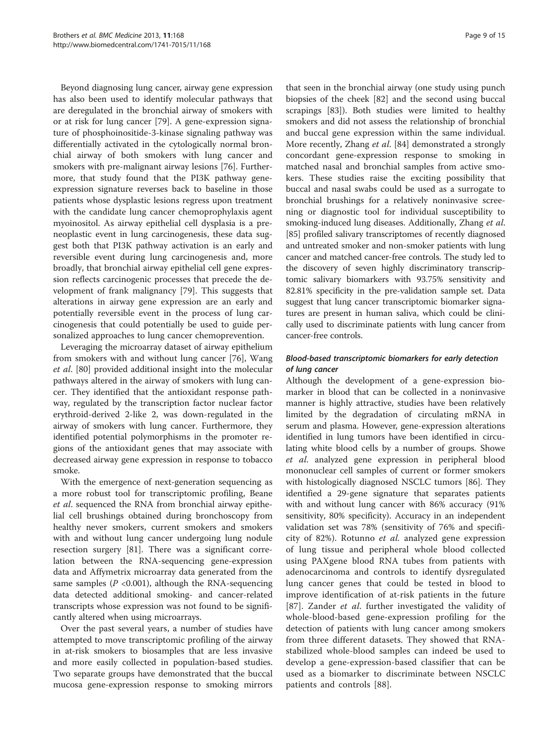Beyond diagnosing lung cancer, airway gene expression has also been used to identify molecular pathways that are deregulated in the bronchial airway of smokers with or at risk for lung cancer [\[79\]](#page-13-0). A gene-expression signature of phosphoinositide-3-kinase signaling pathway was differentially activated in the cytologically normal bronchial airway of both smokers with lung cancer and smokers with pre-malignant airway lesions [\[76](#page-13-0)]. Furthermore, that study found that the PI3K pathway geneexpression signature reverses back to baseline in those patients whose dysplastic lesions regress upon treatment with the candidate lung cancer chemoprophylaxis agent myoinositol. As airway epithelial cell dysplasia is a preneoplastic event in lung carcinogenesis, these data suggest both that PI3K pathway activation is an early and reversible event during lung carcinogenesis and, more broadly, that bronchial airway epithelial cell gene expression reflects carcinogenic processes that precede the development of frank malignancy [\[79\]](#page-13-0). This suggests that alterations in airway gene expression are an early and potentially reversible event in the process of lung carcinogenesis that could potentially be used to guide personalized approaches to lung cancer chemoprevention.

Leveraging the microarray dataset of airway epithelium from smokers with and without lung cancer [\[76](#page-13-0)], Wang et al. [[80\]](#page-13-0) provided additional insight into the molecular pathways altered in the airway of smokers with lung cancer. They identified that the antioxidant response pathway, regulated by the transcription factor nuclear factor erythroid-derived 2-like 2, was down-regulated in the airway of smokers with lung cancer. Furthermore, they identified potential polymorphisms in the promoter regions of the antioxidant genes that may associate with decreased airway gene expression in response to tobacco smoke.

With the emergence of next-generation sequencing as a more robust tool for transcriptomic profiling, Beane et al. sequenced the RNA from bronchial airway epithelial cell brushings obtained during bronchoscopy from healthy never smokers, current smokers and smokers with and without lung cancer undergoing lung nodule resection surgery [[81\]](#page-13-0). There was a significant correlation between the RNA-sequencing gene-expression data and Affymetrix microarray data generated from the same samples ( $P < 0.001$ ), although the RNA-sequencing data detected additional smoking- and cancer-related transcripts whose expression was not found to be significantly altered when using microarrays.

Over the past several years, a number of studies have attempted to move transcriptomic profiling of the airway in at-risk smokers to biosamples that are less invasive and more easily collected in population-based studies. Two separate groups have demonstrated that the buccal mucosa gene-expression response to smoking mirrors

that seen in the bronchial airway (one study using punch biopsies of the cheek [\[82\]](#page-13-0) and the second using buccal scrapings [[83\]](#page-13-0)). Both studies were limited to healthy smokers and did not assess the relationship of bronchial and buccal gene expression within the same individual. More recently, Zhang et al. [\[84](#page-13-0)] demonstrated a strongly concordant gene-expression response to smoking in matched nasal and bronchial samples from active smokers. These studies raise the exciting possibility that buccal and nasal swabs could be used as a surrogate to bronchial brushings for a relatively noninvasive screening or diagnostic tool for individual susceptibility to smoking-induced lung diseases. Additionally, Zhang et al. [[85](#page-13-0)] profiled salivary transcriptomes of recently diagnosed and untreated smoker and non-smoker patients with lung cancer and matched cancer-free controls. The study led to the discovery of seven highly discriminatory transcriptomic salivary biomarkers with 93.75% sensitivity and 82.81% specificity in the pre-validation sample set. Data suggest that lung cancer transcriptomic biomarker signatures are present in human saliva, which could be clinically used to discriminate patients with lung cancer from cancer-free controls.

# Blood-based transcriptomic biomarkers for early detection of lung cancer

Although the development of a gene-expression biomarker in blood that can be collected in a noninvasive manner is highly attractive, studies have been relatively limited by the degradation of circulating mRNA in serum and plasma. However, gene-expression alterations identified in lung tumors have been identified in circulating white blood cells by a number of groups. Showe et al. analyzed gene expression in peripheral blood mononuclear cell samples of current or former smokers with histologically diagnosed NSCLC tumors [\[86\]](#page-13-0). They identified a 29-gene signature that separates patients with and without lung cancer with 86% accuracy (91% sensitivity, 80% specificity). Accuracy in an independent validation set was 78% (sensitivity of 76% and specificity of 82%). Rotunno et al. analyzed gene expression of lung tissue and peripheral whole blood collected using PAXgene blood RNA tubes from patients with adenocarcinoma and controls to identify dysregulated lung cancer genes that could be tested in blood to improve identification of at-risk patients in the future [[87\]](#page-13-0). Zander et al. further investigated the validity of whole-blood-based gene-expression profiling for the detection of patients with lung cancer among smokers from three different datasets. They showed that RNAstabilized whole-blood samples can indeed be used to develop a gene-expression-based classifier that can be used as a biomarker to discriminate between NSCLC patients and controls [[88\]](#page-13-0).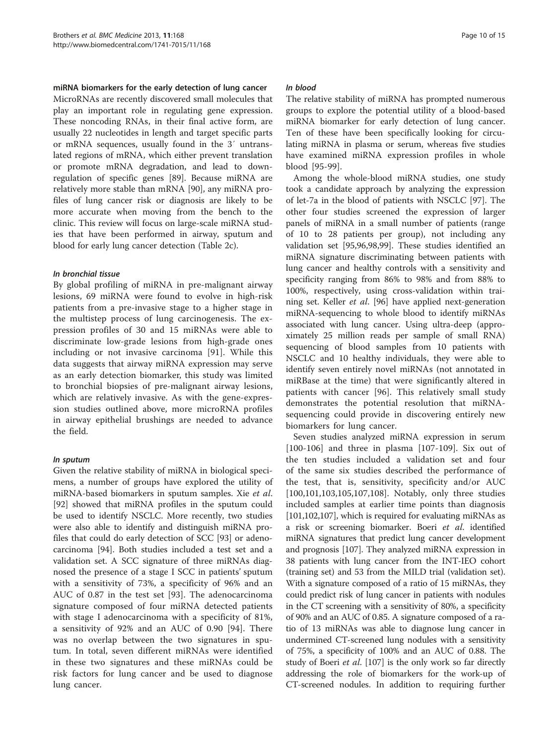miRNA biomarkers for the early detection of lung cancer

MicroRNAs are recently discovered small molecules that play an important role in regulating gene expression. These noncoding RNAs, in their final active form, are usually 22 nucleotides in length and target specific parts or mRNA sequences, usually found in the 3′ untranslated regions of mRNA, which either prevent translation or promote mRNA degradation, and lead to downregulation of specific genes [\[89](#page-13-0)]. Because miRNA are relatively more stable than mRNA [\[90](#page-13-0)], any miRNA profiles of lung cancer risk or diagnosis are likely to be more accurate when moving from the bench to the clinic. This review will focus on large-scale miRNA studies that have been performed in airway, sputum and blood for early lung cancer detection (Table [2](#page-6-0)c).

#### In bronchial tissue

By global profiling of miRNA in pre-malignant airway lesions, 69 miRNA were found to evolve in high-risk patients from a pre-invasive stage to a higher stage in the multistep process of lung carcinogenesis. The expression profiles of 30 and 15 miRNAs were able to discriminate low-grade lesions from high-grade ones including or not invasive carcinoma [\[91](#page-13-0)]. While this data suggests that airway miRNA expression may serve as an early detection biomarker, this study was limited to bronchial biopsies of pre-malignant airway lesions, which are relatively invasive. As with the gene-expression studies outlined above, more microRNA profiles in airway epithelial brushings are needed to advance the field.

#### In sputum

Given the relative stability of miRNA in biological specimens, a number of groups have explored the utility of miRNA-based biomarkers in sputum samples. Xie et al. [[92\]](#page-13-0) showed that miRNA profiles in the sputum could be used to identify NSCLC. More recently, two studies were also able to identify and distinguish miRNA profiles that could do early detection of SCC [\[93](#page-13-0)] or adenocarcinoma [[94\]](#page-13-0). Both studies included a test set and a validation set. A SCC signature of three miRNAs diagnosed the presence of a stage I SCC in patients' sputum with a sensitivity of 73%, a specificity of 96% and an AUC of 0.87 in the test set [\[93](#page-13-0)]. The adenocarcinoma signature composed of four miRNA detected patients with stage I adenocarcinoma with a specificity of 81%, a sensitivity of 92% and an AUC of 0.90 [[94\]](#page-13-0). There was no overlap between the two signatures in sputum. In total, seven different miRNAs were identified in these two signatures and these miRNAs could be risk factors for lung cancer and be used to diagnose lung cancer.

#### In blood

The relative stability of miRNA has prompted numerous groups to explore the potential utility of a blood-based miRNA biomarker for early detection of lung cancer. Ten of these have been specifically looking for circulating miRNA in plasma or serum, whereas five studies have examined miRNA expression profiles in whole blood [\[95-99](#page-13-0)].

Among the whole-blood miRNA studies, one study took a candidate approach by analyzing the expression of let-7a in the blood of patients with NSCLC [[97\]](#page-13-0). The other four studies screened the expression of larger panels of miRNA in a small number of patients (range of 10 to 28 patients per group), not including any validation set [\[95,96,98,99](#page-13-0)]. These studies identified an miRNA signature discriminating between patients with lung cancer and healthy controls with a sensitivity and specificity ranging from 86% to 98% and from 88% to 100%, respectively, using cross-validation within training set. Keller et al. [\[96\]](#page-13-0) have applied next-generation miRNA-sequencing to whole blood to identify miRNAs associated with lung cancer. Using ultra-deep (approximately 25 million reads per sample of small RNA) sequencing of blood samples from 10 patients with NSCLC and 10 healthy individuals, they were able to identify seven entirely novel miRNAs (not annotated in miRBase at the time) that were significantly altered in patients with cancer [[96](#page-13-0)]. This relatively small study demonstrates the potential resolution that miRNAsequencing could provide in discovering entirely new biomarkers for lung cancer.

Seven studies analyzed miRNA expression in serum [[100-106\]](#page-14-0) and three in plasma [[107-109\]](#page-14-0). Six out of the ten studies included a validation set and four of the same six studies described the performance of the test, that is, sensitivity, specificity and/or AUC [[100,101,103](#page-14-0),[105,107,108](#page-14-0)]. Notably, only three studies included samples at earlier time points than diagnosis [[101,102,107](#page-14-0)], which is required for evaluating miRNAs as a risk or screening biomarker. Boeri et al. identified miRNA signatures that predict lung cancer development and prognosis [[107](#page-14-0)]. They analyzed miRNA expression in 38 patients with lung cancer from the INT-IEO cohort (training set) and 53 from the MILD trial (validation set). With a signature composed of a ratio of 15 miRNAs, they could predict risk of lung cancer in patients with nodules in the CT screening with a sensitivity of 80%, a specificity of 90% and an AUC of 0.85. A signature composed of a ratio of 13 miRNAs was able to diagnose lung cancer in undermined CT-screened lung nodules with a sensitivity of 75%, a specificity of 100% and an AUC of 0.88. The study of Boeri *et al.* [\[107](#page-14-0)] is the only work so far directly addressing the role of biomarkers for the work-up of CT-screened nodules. In addition to requiring further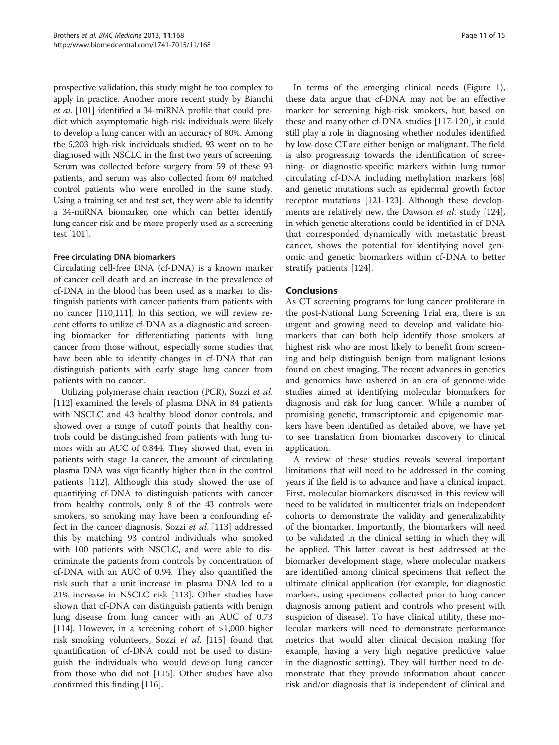prospective validation, this study might be too complex to apply in practice. Another more recent study by Bianchi et al. [[101](#page-14-0)] identified a 34-miRNA profile that could predict which asymptomatic high-risk individuals were likely to develop a lung cancer with an accuracy of 80%. Among the 5,203 high-risk individuals studied, 93 went on to be diagnosed with NSCLC in the first two years of screening. Serum was collected before surgery from 59 of these 93 patients, and serum was also collected from 69 matched control patients who were enrolled in the same study. Using a training set and test set, they were able to identify a 34-miRNA biomarker, one which can better identify lung cancer risk and be more properly used as a screening test [[101](#page-14-0)].

#### Free circulating DNA biomarkers

Circulating cell-free DNA (cf-DNA) is a known marker of cancer cell death and an increase in the prevalence of cf-DNA in the blood has been used as a marker to distinguish patients with cancer patients from patients with no cancer [[110,111](#page-14-0)]. In this section, we will review recent efforts to utilize cf-DNA as a diagnostic and screening biomarker for differentiating patients with lung cancer from those without, especially some studies that have been able to identify changes in cf-DNA that can distinguish patients with early stage lung cancer from patients with no cancer.

Utilizing polymerase chain reaction (PCR), Sozzi et al. [[112\]](#page-14-0) examined the levels of plasma DNA in 84 patients with NSCLC and 43 healthy blood donor controls, and showed over a range of cutoff points that healthy controls could be distinguished from patients with lung tumors with an AUC of 0.844. They showed that, even in patients with stage 1a cancer, the amount of circulating plasma DNA was significantly higher than in the control patients [[112\]](#page-14-0). Although this study showed the use of quantifying cf-DNA to distinguish patients with cancer from healthy controls, only 8 of the 43 controls were smokers, so smoking may have been a confounding effect in the cancer diagnosis. Sozzi et al. [\[113\]](#page-14-0) addressed this by matching 93 control individuals who smoked with 100 patients with NSCLC, and were able to discriminate the patients from controls by concentration of cf-DNA with an AUC of 0.94. They also quantified the risk such that a unit increase in plasma DNA led to a 21% increase in NSCLC risk [\[113\]](#page-14-0). Other studies have shown that cf-DNA can distinguish patients with benign lung disease from lung cancer with an AUC of 0.73 [[114\]](#page-14-0). However, in a screening cohort of >1,000 higher risk smoking volunteers, Sozzi et al. [[115\]](#page-14-0) found that quantification of cf-DNA could not be used to distinguish the individuals who would develop lung cancer from those who did not [[115](#page-14-0)]. Other studies have also confirmed this finding [\[116\]](#page-14-0).

In terms of the emerging clinical needs (Figure [1](#page-1-0)), these data argue that cf-DNA may not be an effective marker for screening high-risk smokers, but based on these and many other cf-DNA studies [\[117-120](#page-14-0)], it could still play a role in diagnosing whether nodules identified by low-dose CT are either benign or malignant. The field is also progressing towards the identification of screening- or diagnostic-specific markers within lung tumor circulating cf-DNA including methylation markers [[68](#page-13-0)] and genetic mutations such as epidermal growth factor receptor mutations [\[121-123](#page-14-0)]. Although these develop-ments are relatively new, the Dawson et al. study [[124](#page-14-0)], in which genetic alterations could be identified in cf-DNA that corresponded dynamically with metastatic breast cancer, shows the potential for identifying novel genomic and genetic biomarkers within cf-DNA to better stratify patients [[124](#page-14-0)].

## Conclusions

As CT screening programs for lung cancer proliferate in the post-National Lung Screening Trial era, there is an urgent and growing need to develop and validate biomarkers that can both help identify those smokers at highest risk who are most likely to benefit from screening and help distinguish benign from malignant lesions found on chest imaging. The recent advances in genetics and genomics have ushered in an era of genome-wide studies aimed at identifying molecular biomarkers for diagnosis and risk for lung cancer. While a number of promising genetic, transcriptomic and epigenomic markers have been identified as detailed above, we have yet to see translation from biomarker discovery to clinical application.

A review of these studies reveals several important limitations that will need to be addressed in the coming years if the field is to advance and have a clinical impact. First, molecular biomarkers discussed in this review will need to be validated in multicenter trials on independent cohorts to demonstrate the validity and generalizability of the biomarker. Importantly, the biomarkers will need to be validated in the clinical setting in which they will be applied. This latter caveat is best addressed at the biomarker development stage, where molecular markers are identified among clinical specimens that reflect the ultimate clinical application (for example, for diagnostic markers, using specimens collected prior to lung cancer diagnosis among patient and controls who present with suspicion of disease). To have clinical utility, these molecular markers will need to demonstrate performance metrics that would alter clinical decision making (for example, having a very high negative predictive value in the diagnostic setting). They will further need to demonstrate that they provide information about cancer risk and/or diagnosis that is independent of clinical and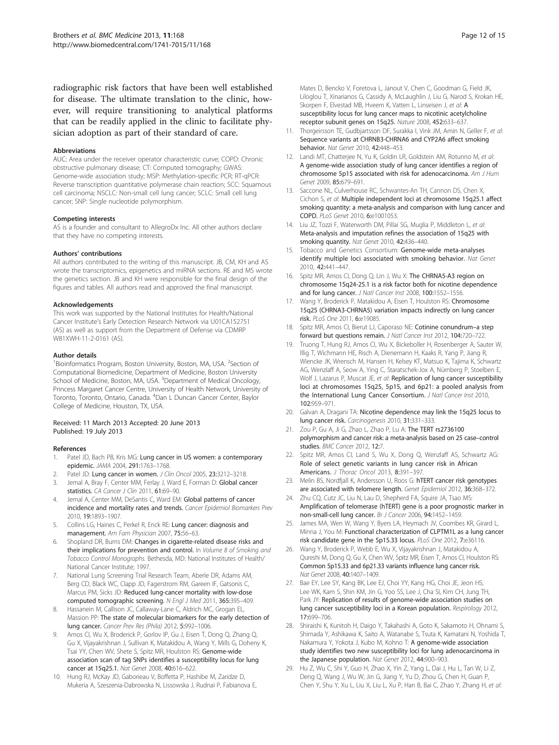<span id="page-11-0"></span>radiographic risk factors that have been well established for disease. The ultimate translation to the clinic, however, will require transitioning to analytical platforms that can be readily applied in the clinic to facilitate physician adoption as part of their standard of care.

#### Abbreviations

AUC: Area under the receiver operator characteristic curve; COPD: Chronic obstructive pulmonary disease; CT: Computed tomography; GWAS: Genome-wide association study; MSP: Methylation-specific PCR; RT-qPCR: Reverse transcription quantitative polymerase chain reaction; SCC: Squamous cell carcinoma; NSCLC: Non-small cell lung cancer; SCLC: Small cell lung cancer; SNP: Single nucleotide polymorphism.

#### Competing interests

AS is a founder and consultant to AllegroDx Inc. All other authors declare that they have no competing interests.

#### Authors' contributions

All authors contributed to the writing of this manuscript. JB, CM, KH and AS wrote the transcriptomics, epigenetics and miRNA sections. RE and MS wrote the genetics section. JB and KH were responsible for the final design of the figures and tables. All authors read and approved the final manuscript.

#### Acknowledgements

This work was supported by the National Institutes for Health/National Cancer Institute's Early Detection Research Network via U01CA152751 (AS) as well as support from the Department of Defense via CDMRP W81XWH-11-2-0161 (AS).

#### Author details

<sup>1</sup> Bioinformatics Program, Boston University, Boston, MA, USA. <sup>2</sup> Section of Computational Biomedicine, Department of Medicine, Boston University School of Medicine, Boston, MA, USA. <sup>3</sup>Department of Medical Oncology, Princess Margaret Cancer Centre, University of Health Network, University of Toronto, Toronto, Ontario, Canada. <sup>4</sup> Dan L Duncan Cancer Center, Baylor College of Medicine, Houston, TX, USA.

#### Received: 11 March 2013 Accepted: 20 June 2013 Published: 19 July 2013

#### References

- 1. Patel JD, Bach PB, Kris MG: Lung cancer in US women: a contemporary epidemic. JAMA 2004, 291:1763–1768.
- 2. Patel JD: Lung cancer in women. J Clin Oncol 2005, 23:3212-3218.
- 3. Jemal A, Bray F, Center MM, Ferlay J, Ward E, Forman D: Global cancer statistics. CA Cancer J Clin 2011, 61:69-90.
- 4. Jemal A, Center MM, DeSantis C, Ward EM: Global patterns of cancer incidence and mortality rates and trends. Cancer Epidemiol Biomarkers Prev 2010, 19:1893–1907.
- 5. Collins LG, Haines C, Perkel R, Enck RE: Lung cancer: diagnosis and management. Am Fam Physician 2007, 75:56-63.
- 6. Shopland DR, Burns DM: Changes in cigarette-related disease risks and their implications for prevention and control. In Volume 8 of Smoking and Tobacco Control Monographs. Bethesda, MD: National Institutes of Health/ National Cancer Institute; 1997.
- 7. National Lung Screening Trial Research Team, Aberle DR, Adams AM, Berg CD, Black WC, Clapp JD, Fagerstrom RM, Gareen IF, Gatsonis C, Marcus PM, Sicks JD: Reduced lung-cancer mortality with low-dose computed tomographic screening. N Engl J Med 2011, 365:395–409.
- 8. Hassanein M, Callison JC, Callaway-Lane C, Aldrich MC, Grogan EL, Massion PP: The state of molecular biomarkers for the early detection of lung cancer. Cancer Prev Res (Phila) 2012, 5:992–1006.
- 9. Amos CI, Wu X, Broderick P, Gorlov IP, Gu J, Eisen T, Dong Q, Zhang Q, Gu X, Vijayakrishnan J, Sullivan K, Matakidou A, Wang Y, Mills G, Doheny K, Tsai YY, Chen WV, Shete S, Spitz MR, Houlston RS: Genome-wide association scan of tag SNPs identifies a susceptibility locus for lung cancer at 15q25.1. Nat Genet 2008, 40:616–622.
- 10. Hung RJ, McKay JD, Gaborieau V, Boffetta P, Hashibe M, Zaridze D, Mukeria A, Szeszenia-Dabrowska N, Lissowska J, Rudnai P, Fabianova E,

Mates D, Bencko V, Foretova L, Janout V, Chen C, Goodman G, Field JK, Liloglou T, Xinarianos G, Cassidy A, McLaughlin J, Liu G, Narod S, Krokan HE, Skorpen F, Elvestad MB, Hveem K, Vatten L, Linseisen J, et al: A susceptibility locus for lung cancer maps to nicotinic acetylcholine receptor subunit genes on 15q25. Nature 2008, 452:633–637.

- 11. Thorgeirsson TE, Gudbjartsson DF, Surakka I, Vink JM, Amin N, Geller F, et al: Sequence variants at CHRNB3-CHRNA6 and CYP2A6 affect smoking behavior. Nat Genet 2010, 42:448–453.
- 12. Landi MT, Chatterjee N, Yu K, Goldin LR, Goldstein AM, Rotunno M, et al: A genome-wide association study of lung cancer identifies a region of chromosome 5p15 associated with risk for adenocarcinoma. Am J Hum Genet 2009, 85:679–691.
- 13. Saccone NL, Culverhouse RC, Schwantes-An TH, Cannon DS, Chen X, Cichon S, et al: Multiple independent loci at chromosome 15q25.1 affect smoking quantity: a meta-analysis and comparison with lung cancer and COPD. PLoS Genet 2010, 6:e1001053.
- 14. Liu JZ, Tozzi F, Waterworth DM, Pillai SG, Muglia P, Middleton L, et al: Meta-analysis and imputation refines the association of 15q25 with smoking quantity. Nat Genet 2010, 42:436–440.
- 15. Tobacco and Genetics Consortium: Genome-wide meta-analyses identify multiple loci associated with smoking behavior. Nat Genet 2010, 42:441–447.
- 16. Spitz MR, Amos CI, Dong Q, Lin J, Wu X: The CHRNA5-A3 region on chromosome 15q24-25.1 is a risk factor both for nicotine dependence and for lung cancer. J Natl Cancer Inst 2008, 100:1552-1556.
- 17. Wang Y, Broderick P, Matakidou A, Eisen T, Houlston RS: Chromosome 15q25 (CHRNA3-CHRNA5) variation impacts indirectly on lung cancer risk. PLoS One 2011, 6:e19085.
- Spitz MR, Amos CI, Bierut LJ, Caporaso NE: Cotinine conundrum-a step forward but questions remain. J Natl Cancer Inst 2012, 104:720–722.
- 19. Truong T, Hung RJ, Amos CI, Wu X, Bickeboller H, Rosenberger A, Sauter W, Illig T, Wichmann HE, Risch A, Dienemann H, Kaaks R, Yang P, Jiang R, Wiencke JK, Wrensch M, Hansen H, Kelsey KT, Matsuo K, Tajima K, Schwartz AG, Wenzlaff A, Seow A, Ying C, Staratschek-Jox A, Nürnberg P, Stoelben E, Wolf J, Lazarus P, Muscat JE, et al: Replication of lung cancer susceptibility loci at chromosomes 15q25, 5p15, and 6p21: a pooled analysis from the International Lung Cancer Consortium. J Natl Cancer Inst 2010, 102:959–971.
- 20. Galvan A, Dragani TA: Nicotine dependence may link the 15q25 locus to lung cancer risk. Carcinogenesis 2010, 31:331–333.
- 21. Zou P, Gu A, Ji G, Zhao L, Zhao P, Lu A: The TERT rs2736100 polymorphism and cancer risk: a meta-analysis based on 25 case–control studies. BMC Cancer 2012, 12:7.
- 22. Spitz MR, Amos CI, Land S, Wu X, Dong Q, Wenzlaff AS, Schwartz AG: Role of select genetic variants in lung cancer risk in African Americans. J Thorac Oncol 2013, 8:391–397.
- 23. Melin BS, Nordfjall K, Andersson U, Roos G: hTERT cancer risk genotypes are associated with telomere length. Genet Epidemiol 2012, 36:368–372.
- 24. Zhu CQ, Cutz JC, Liu N, Lau D, Shepherd FA, Squire JA, Tsao MS: Amplification of telomerase (hTERT) gene is a poor prognostic marker in non-small-cell lung cancer. Br J Cancer 2006, 94:1452–1459.
- 25. James MA, Wen W, Wang Y, Byers LA, Heymach JV, Coombes KR, Girard L, Minna J, You M: Functional characterization of CLPTM1L as a lung cancer risk candidate gene in the 5p15.33 locus. PLoS One 2012, 7:e36116.
- 26. Wang Y, Broderick P, Webb E, Wu X, Vijayakrishnan J, Matakidou A, Qureshi M, Dong Q, Gu X, Chen WV, Spitz MR, Eisen T, Amos CI, Houlston RS: Common 5p15.33 and 6p21.33 variants influence lung cancer risk. Nat Genet 2008, 40:1407–1409.
- 27. Bae EY, Lee SY, Kang BK, Lee EJ, Choi YY, Kang HG, Choi JE, Jeon HS, Lee WK, Kam S, Shin KM, Jin G, Yoo SS, Lee J, Cha SI, Kim CH, Jung TH, Park JY: Replication of results of genome-wide association studies on lung cancer susceptibility loci in a Korean population. Respirology 2012, 17:699–706.
- 28. Shiraishi K, Kunitoh H, Daigo Y, Takahashi A, Goto K, Sakamoto H, Ohnami S, Shimada Y, Ashikawa K, Saito A, Watanabe S, Tsuta K, Kamatani N, Yoshida T, Nakamura Y, Yokota J, Kubo M, Kohno T: A genome-wide association study identifies two new susceptibility loci for lung adenocarcinoma in the Japanese population. Nat Genet 2012, 44:900–903.
- 29. Hu Z, Wu C, Shi Y, Guo H, Zhao X, Yin Z, Yang L, Dai J, Hu L, Tan W, Li Z, Deng Q, Wang J, Wu W, Jin G, Jiang Y, Yu D, Zhou G, Chen H, Guan P, Chen Y, Shu Y, Xu L, Liu X, Liu L, Xu P, Han B, Bai C, Zhao Y, Zhang H, et al: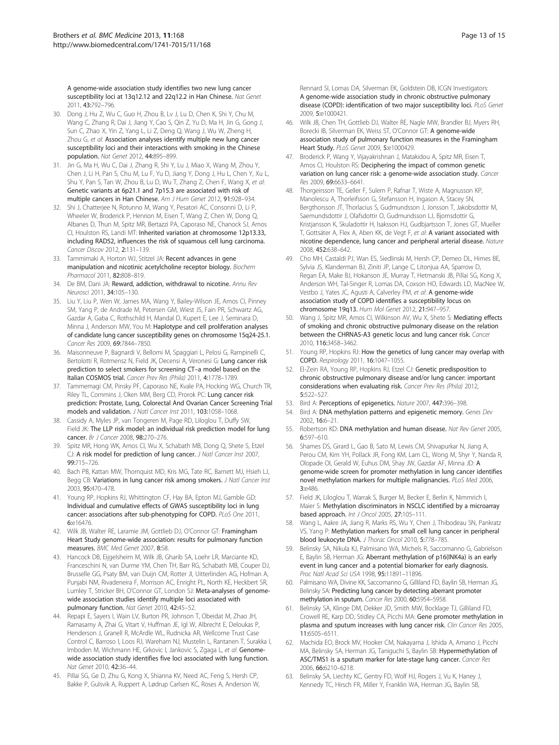<span id="page-12-0"></span>A genome-wide association study identifies two new lung cancer susceptibility loci at 13q12.12 and 22q12.2 in Han Chinese. Nat Genet 2011, 43:792–796.

- 30. Dong J, Hu Z, Wu C, Guo H, Zhou B, Lv J, Lu D, Chen K, Shi Y, Chu M, Wang C, Zhang R, Dai J, Jiang Y, Cao S, Qin Z, Yu D, Ma H, Jin G, Gong J, Sun C, Zhao X, Yin Z, Yang L, Li Z, Deng Q, Wang J, Wu W, Zheng H, Zhou G, et al: Association analyses identify multiple new lung cancer susceptibility loci and their interactions with smoking in the Chinese population. Nat Genet 2012, 44:895–899.
- 31. Jin G, Ma H, Wu C, Dai J, Zhang R, Shi Y, Lu J, Miao X, Wang M, Zhou Y, Chen J, Li H, Pan S, Chu M, Lu F, Yu D, Jiang Y, Dong J, Hu L, Chen Y, Xu L, Shu Y, Pan S, Tan W, Zhou B, Lu D, Wu T, Zhang Z, Chen F, Wang X, et al: Genetic variants at 6p21.1 and 7p15.3 are associated with risk of multiple cancers in Han Chinese. Am J Hum Genet 2012, 91:928–934.
- 32. Shi J, Chatterjee N, Rotunno M, Wang Y, Pesatori AC, Consonni D, Li P, Wheeler W, Broderick P, Henrion M, Eisen T, Wang Z, Chen W, Dong Q, Albanes D, Thun M, Spitz MR, Bertazzi PA, Caporaso NE, Chanock SJ, Amos CI, Houlston RS, Landi MT: Inherited variation at chromosome 12p13.33, including RAD52, influences the risk of squamous cell lung carcinoma. Cancer Discov 2012, 2:131–139.
- 33. Tammimaki A, Horton WJ, Stitzel JA: Recent advances in gene manipulation and nicotinic acetylcholine receptor biology. Biochem Pharmacol 2011, 82:808–819.
- 34. De BM, Dani JA: Reward, addiction, withdrawal to nicotine. Annu Rev Neurosci 2011, 34:105–130.
- 35. Liu Y, Liu P, Wen W, James MA, Wang Y, Bailey-Wilson JE, Amos CI, Pinney SM, Yang P, de Andrade M, Petersen GM, Wiest JS, Fain PR, Schwartz AG, Gazdar A, Gaba C, Rothschild H, Mandal D, Kupert E, Lee J, Seminara D, Minna J, Anderson MW, You M: Haplotype and cell proliferation analyses of candidate lung cancer susceptibility genes on chromosome 15q24-25.1. Cancer Res 2009, 69:7844–7850.
- 36. Maisonneuve P, Bagnardi V, Bellomi M, Spaggiari L, Pelosi G, Rampinelli C, Bertolotti R, Rotmensz N, Field JK, Decensi A, Veronesi G: Lung cancer risk prediction to select smokers for screening CT–a model based on the Italian COSMOS trial. Cancer Prev Res (Phila) 2011, 4:1778–1789.
- 37. Tammemagi CM, Pinsky PF, Caporaso NE, Kvale PA, Hocking WG, Church TR, Riley TL, Commins J, Oken MM, Berg CD, Prorok PC: Lung cancer risk prediction: Prostate, Lung, Colorectal And Ovarian Cancer Screening Trial models and validation. J Natl Cancer Inst 2011, 103:1058–1068.
- 38. Cassidy A, Myles JP, van Tongeren M, Page RD, Liloglou T, Duffy SW, Field JK: The LLP risk model: an individual risk prediction model for lung cancer. Br J Cancer 2008, 98:270-276.
- 39. Spitz MR, Hong WK, Amos CI, Wu X, Schabath MB, Dong Q, Shete S, Etzel CJ: A risk model for prediction of lung cancer. J Natl Cancer Inst 2007, 99:715–726.
- 40. Bach PB, Kattan MW, Thornquist MD, Kris MG, Tate RC, Barnett MJ, Hsieh LJ, Begg CB: Variations in lung cancer risk among smokers. J Natl Cancer Inst 2003, 95:470–478.
- 41. Young RP, Hopkins RJ, Whittington CF, Hay BA, Epton MJ, Gamble GD: Individual and cumulative effects of GWAS susceptibility loci in lung cancer: associations after sub-phenotyping for COPD. PLoS One 2011, 6:e16476.
- 42. Wilk JB, Walter RE, Laramie JM, Gottlieb DJ, O'Connor GT: Framingham Heart Study genome-wide association: results for pulmonary function measures. BMC Med Genet 2007, 8:S8.
- 43. Hancock DB, Eijgelsheim M, Wilk JB, Gharib SA, Loehr LR, Marciante KD, Franceschini N, van Durme YM, Chen TH, Barr RG, Schabath MB, Couper DJ, Brusselle GG, Psaty BM, van Duijn CM, Rotter JI, Uitterlinden AG, Hofman A, Punjabi NM, Rivadeneira F, Morrison AC, Enright PL, North KE, Heckbert SR, Lumley T, Stricker BH, O'Connor GT, London SJ: Meta-analyses of genomewide association studies identify multiple loci associated with pulmonary function. Nat Genet 2010, 42:45–52.
- 44. Repapi E, Sayers I, Wain LV, Burton PR, Johnson T, Obeidat M, Zhao JH, Ramasamy A, Zhai G, Vitart V, Huffman JE, Igl W, Albrecht E, Deloukas P, Henderson J, Granell R, McArdle WL, Rudnicka AR, Wellcome Trust Case Control C, Barroso I, Loos RJ, Wareham NJ, Mustelin L, Rantanen T, Surakka I, Imboden M, Wichmann HE, Grkovic I, Jankovic S, Zgaga L, et al: Genomewide association study identifies five loci associated with lung function. Nat Genet 2010, 42:36–44.
- 45. Pillai SG, Ge D, Zhu G, Kong X, Shianna KV, Need AC, Feng S, Hersh CP, Bakke P, Gulsvik A, Ruppert A, Lødrup Carlsen KC, Roses A, Anderson W,

Rennard SI, Lomas DA, Silverman EK, Goldstein DB, ICGN Investigators: A genome-wide association study in chronic obstructive pulmonary disease (COPD): identification of two major susceptibility loci. PLoS Genet 2009, 5:e1000421.

- 46. Wilk JB, Chen TH, Gottlieb DJ, Walter RE, Nagle MW, Brandler BJ, Myers RH, Borecki IB, Silverman EK, Weiss ST, O'Connor GT: A genome-wide association study of pulmonary function measures in the Framingham Heart Study. PLoS Genet 2009, 5:e1000429.
- 47. Broderick P, Wang Y, Vijayakrishnan J, Matakidou A, Spitz MR, Eisen T, Amos CI, Houlston RS: Deciphering the impact of common genetic variation on lung cancer risk: a genome-wide association study. Cancer Res 2009, 69:6633–6641.
- 48. Thorgeirsson TE, Geller F, Sulem P, Rafnar T, Wiste A, Magnusson KP, Manolescu A, Thorleifsson G, Stefansson H, Ingason A, Stacey SN, Bergthorsson JT, Thorlacius S, Gudmundsson J, Jonsson T, Jakobsdottir M, Saemundsdottir J, Olafsdottir O, Gudmundsson LJ, Bjornsdottir G, Kristjansson K, Skuladottir H, Isaksson HJ, Gudbjartsson T, Jones GT, Mueller T, Gottsäter A, Flex A, Aben KK, de Vegt F, et al: A variant associated with nicotine dependence, lung cancer and peripheral arterial disease. Nature 2008, 452:638–642.
- 49. Cho MH, Castaldi PJ, Wan ES, Siedlinski M, Hersh CP, Demeo DL, Himes BE, Sylvia JS, Klanderman BJ, Ziniti JP, Lange C, Litonjua AA, Sparrow D, Regan EA, Make BJ, Hokanson JE, Murray T, Hetmanski JB, Pillai SG, Kong X, Anderson WH, Tal-Singer R, Lomas DA, Coxson HO, Edwards LD, MacNee W, Vestbo J, Yates JC, Agusti A, Calverley PM, et al: A genome-wide association study of COPD identifies a susceptibility locus on chromosome 19q13. Hum Mol Genet 2012, 21:947–957.
- Wang J, Spitz MR, Amos CI, Wilkinson AV, Wu X, Shete S: Mediating effects of smoking and chronic obstructive pulmonary disease on the relation between the CHRNA5-A3 genetic locus and lung cancer risk. Cancer 2010, 116:3458–3462.
- 51. Young RP, Hopkins RJ: How the genetics of lung cancer may overlap with COPD. Respirology 2011, 16:1047–1055.
- 52. El-Zein RA, Young RP, Hopkins RJ, Etzel CJ: Genetic predisposition to chronic obstructive pulmonary disease and/or lung cancer: important considerations when evaluating risk. Cancer Prev Res (Phila) 2012, 5:522–527.
- 53. Bird A: Perceptions of epigenetics. Nature 2007, 447:396–398.
- Bird A: DNA methylation patterns and epigenetic memory. Genes Dev 2002, 16:6–21.
- 55. Robertson KD: DNA methylation and human disease. Nat Rev Genet 2005, 6:597–610.
- 56. Shames DS, Girard L, Gao B, Sato M, Lewis CM, Shivapurkar N, Jiang A, Perou CM, Kim YH, Pollack JR, Fong KM, Lam CL, Wong M, Shyr Y, Nanda R, Olopade OI, Gerald W, Euhus DM, Shay JW, Gazdar AF, Minna JD: A genome-wide screen for promoter methylation in lung cancer identifies novel methylation markers for multiple malignancies. PLoS Med 2006, 3:e486.
- 57. Field JK, Liloglou T, Warrak S, Burger M, Becker E, Berlin K, Nimmrich I, Maier S: Methylation discriminators in NSCLC identified by a microarray based approach. Int J Oncol 2005, 27:105–111.
- 58. Wang L, Aakre JA, Jiang R, Marks RS, Wu Y, Chen J, Thibodeau SN, Pankratz VS, Yang P: Methylation markers for small cell lung cancer in peripheral blood leukocyte DNA. J Thorac Oncol 2010, 5:778–785.
- 59. Belinsky SA, Nikula KJ, Palmisano WA, Michels R, Saccomanno G, Gabrielson E, Baylin SB, Herman JG: Aberrant methylation of p16(INK4a) is an early event in lung cancer and a potential biomarker for early diagnosis. Proc Natl Acad Sci USA 1998, 95:11891–11896.
- 60. Palmisano WA, Divine KK, Saccomanno G, Gilliland FD, Baylin SB, Herman JG, Belinsky SA: Predicting lung cancer by detecting aberrant promoter methylation in sputum. Cancer Res 2000, 60:5954–5958.
- 61. Belinsky SA, Klinge DM, Dekker JD, Smith MW, Bocklage TJ, Gilliland FD, Crowell RE, Karp DD, Stidley CA, Picchi MA: Gene promoter methylation in plasma and sputum increases with lung cancer risk. Clin Cancer Res 2005, 11:6505–6511.
- 62. Machida EO, Brock MV, Hooker CM, Nakayama J, Ishida A, Amano J, Picchi MA, Belinsky SA, Herman JG, Taniguchi S, Baylin SB: Hypermethylation of ASC/TMS1 is a sputum marker for late-stage lung cancer. Cancer Res 2006, 66:6210–6218.
- 63. Belinsky SA, Liechty KC, Gentry FD, Wolf HJ, Rogers J, Vu K, Haney J, Kennedy TC, Hirsch FR, Miller Y, Franklin WA, Herman JG, Baylin SB,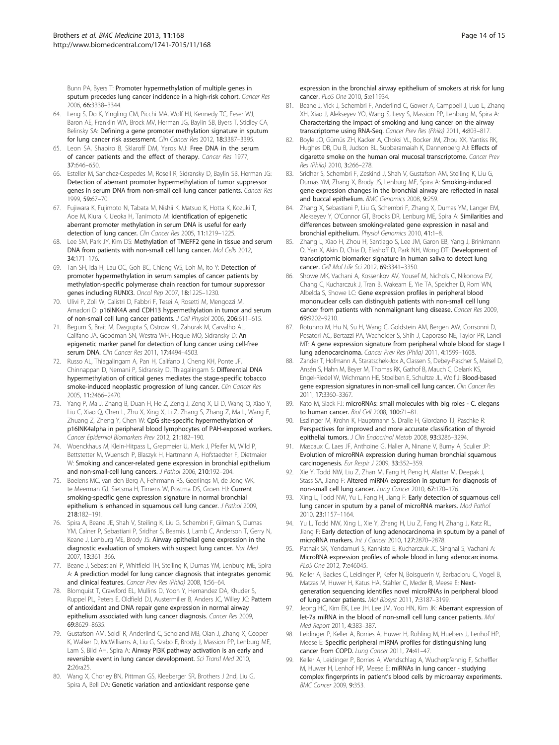<span id="page-13-0"></span>Bunn PA, Byers T: Promoter hypermethylation of multiple genes in sputum precedes lung cancer incidence in a high-risk cohort. Cancer Res 2006, 66:3338–3344.

- 64. Leng S, Do K, Yingling CM, Picchi MA, Wolf HJ, Kennedy TC, Feser WJ, Baron AE, Franklin WA, Brock MV, Herman JG, Baylin SB, Byers T, Stidley CA, Belinsky SA: Defining a gene promoter methylation signature in sputum for lung cancer risk assessment. Clin Cancer Res 2012, 18:3387-3395.
- 65. Leon SA, Shapiro B, Sklaroff DM, Yaros MJ: Free DNA in the serum of cancer patients and the effect of therapy. Cancer Res 1977, 37:646–650.
- 66. Esteller M, Sanchez-Cespedes M, Rosell R, Sidransky D, Baylin SB, Herman JG: Detection of aberrant promoter hypermethylation of tumor suppressor genes in serum DNA from non-small cell lung cancer patients. Cancer Res 1999, 59:67–70.
- 67. Fujiwara K, Fujimoto N, Tabata M, Nishii K, Matsuo K, Hotta K, Kozuki T, Aoe M, Kiura K, Ueoka H, Tanimoto M: Identification of epigenetic aberrant promoter methylation in serum DNA is useful for early detection of lung cancer. Clin Cancer Res 2005, 11:1219–1225.
- 68. Lee SM, Park JY, Kim DS: Methylation of TMEFF2 gene in tissue and serum DNA from patients with non-small cell lung cancer. Mol Cells 2012, 34:171–176.
- 69. Tan SH, Ida H, Lau QC, Goh BC, Chieng WS, Loh M, Ito Y: Detection of promoter hypermethylation in serum samples of cancer patients by methylation-specific polymerase chain reaction for tumour suppressor genes including RUNX3. Oncol Rep 2007, 18:1225–1230.
- 70. Ulivi P, Zoli W, Calistri D, Fabbri F, Tesei A, Rosetti M, Mengozzi M, Amadori D: p16INK4A and CDH13 hypermethylation in tumor and serum of non-small cell lung cancer patients. J Cell Physiol 2006, 206:611–615.
- 71. Begum S, Brait M, Dasgupta S, Ostrow KL, Zahurak M, Carvalho AL, Califano JA, Goodman SN, Westra WH, Hoque MO, Sidransky D: An epigenetic marker panel for detection of lung cancer using cell-free serum DNA. Clin Cancer Res 2011, 17:4494–4503.
- 72. Russo AL, Thiagalingam A, Pan H, Califano J, Cheng KH, Ponte JF, Chinnappan D, Nemani P, Sidransky D, Thiagalingam S: Differential DNA hypermethylation of critical genes mediates the stage-specific tobacco smoke-induced neoplastic progression of lung cancer. Clin Cancer Res 2005, 11:2466–2470.
- 73. Yang P, Ma J, Zhang B, Duan H, He Z, Zeng J, Zeng X, Li D, Wang Q, Xiao Y, Liu C, Xiao Q, Chen L, Zhu X, Xing X, Li Z, Zhang S, Zhang Z, Ma L, Wang E, Zhuang Z, Zheng Y, Chen W: CpG site-specific hypermethylation of p16INK4alpha in peripheral blood lymphocytes of PAH-exposed workers. Cancer Epidemiol Biomarkers Prev 2012, 21:182–190.
- 74. Woenckhaus M, Klein-Hitpass L, Grepmeier U, Merk J, Pfeifer M, Wild P, Bettstetter M, Wuensch P, Blaszyk H, Hartmann A, Hofstaedter F, Dietmaier W: Smoking and cancer-related gene expression in bronchial epithelium and non-small-cell lung cancers. J Pathol 2006, 210:192–204.
- 75. Boelens MC, van den Berg A, Fehrmann RS, Geerlings M, de Jong WK, te Meerman GJ, Sietsma H, Timens W, Postma DS, Groen HJ: Current smoking-specific gene expression signature in normal bronchial epithelium is enhanced in squamous cell lung cancer. J Pathol 2009, 218:182–191.
- 76. Spira A, Beane JE, Shah V, Steiling K, Liu G, Schembri F, Gilman S, Dumas YM, Calner P, Sebastiani P, Sridhar S, Beamis J, Lamb C, Anderson T, Gerry N, Keane J, Lenburg ME, Brody JS: Airway epithelial gene expression in the diagnostic evaluation of smokers with suspect lung cancer. Nat Med 2007, 13:361–366.
- 77. Beane J, Sebastiani P, Whitfield TH, Steiling K, Dumas YM, Lenburg ME, Spira A: A prediction model for lung cancer diagnosis that integrates genomic and clinical features. Cancer Prev Res (Phila) 2008, 1:56–64.
- 78. Blomquist T, Crawford EL, Mullins D, Yoon Y, Hernandez DA, Khuder S, Ruppel PL, Peters E, Oldfield DJ, Austermiller B, Anders JC, Willey JC: Pattern of antioxidant and DNA repair gene expression in normal airway epithelium associated with lung cancer diagnosis. Cancer Res 2009, 69:8629–8635.
- 79. Gustafson AM, Soldi R, Anderlind C, Scholand MB, Qian J, Zhang X, Cooper K, Walker D, McWilliams A, Liu G, Szabo E, Brody J, Massion PP, Lenburg ME, Lam S, Bild AH, Spira A: Airway PI3K pathway activation is an early and reversible event in lung cancer development. Sci Transl Med 2010, 2:26ra25.
- 80. Wang X, Chorley BN, Pittman GS, Kleeberger SR, Brothers J 2nd, Liu G, Spira A, Bell DA: Genetic variation and antioxidant response gene

expression in the bronchial airway epithelium of smokers at risk for lung cancer. PLoS One 2010, 5:e11934.

- 81. Beane J, Vick J, Schembri F, Anderlind C, Gower A, Campbell J, Luo L, Zhang XH, Xiao J, Alekseyev YO, Wang S, Levy S, Massion PP, Lenburg M, Spira A: Characterizing the impact of smoking and lung cancer on the airway transcriptome using RNA-Seq. Cancer Prev Res (Phila) 2011, 4:803–817.
- 82. Boyle JO, Gümüs ZH, Kacker A, Choksi VL, Bocker JM, Zhou XK, Yantiss RK, Hughes DB, Du B, Judson BL, Subbaramaiah K, Dannenberg AJ: Effects of cigarette smoke on the human oral mucosal transcriptome. Cancer Prev Res (Phila) 2010, 3:266–278.
- Sridhar S, Schembri F, Zeskind J, Shah V, Gustafson AM, Steiling K, Liu G, Dumas YM, Zhang X, Brody JS, Lenburg ME, Spira A: Smoking-induced gene expression changes in the bronchial airway are reflected in nasal and buccal epithelium. BMC Genomics 2008, 9:259.
- 84. Zhang X, Sebastiani P, Liu G, Schembri F, Zhang X, Dumas YM, Langer EM, Alekseyev Y, O'Connor GT, Brooks DR, Lenburg ME, Spira A: Similarities and differences between smoking-related gene expression in nasal and bronchial epithelium. Physiol Genomics 2010, 41:1–8.
- 85. Zhang L, Xiao H, Zhou H, Santiago S, Lee JM, Garon EB, Yang J, Brinkmann O, Yan X, Akin D, Chia D, Elashoff D, Park NH, Wong DT: Development of transcriptomic biomarker signature in human saliva to detect lung cancer. Cell Mol Life Sci 2012, 69:3341–3350.
- 86. Showe MK, Vachani A, Kossenkov AV, Yousef M, Nichols C, Nikonova EV, Chang C, Kucharczuk J, Tran B, Wakeam E, Yie TA, Speicher D, Rom WN, Albelda S, Showe LC: Gene expression profiles in peripheral blood mononuclear cells can distinguish patients with non-small cell lung cancer from patients with nonmalignant lung disease. Cancer Res 2009, 69:9202–9210.
- 87. Rotunno M, Hu N, Su H, Wang C, Goldstein AM, Bergen AW, Consonni D, Pesatori AC, Bertazzi PA, Wacholder S, Shih J, Caporaso NE, Taylor PR, Landi MT: A gene expression signature from peripheral whole blood for stage I lung adenocarcinoma. Cancer Prev Res (Phila) 2011, 4:1599–1608.
- 88. Zander T, Hofmann A, Staratschek-Jox A, Classen S, Debey-Pascher S, Maisel D, Ansén S, Hahn M, Beyer M, Thomas RK, Gathof B, Mauch C, Delank KS, Engel-Riedel W, Wichmann HE, Stoelben E, Schultze JL, Wolf J: Blood-based gene expression signatures in non-small cell lung cancer. Clin Cancer Res 2011, 17:3360–3367.
- 89. Kato M, Slack FJ: microRNAs: small molecules with big roles C. elegans to human cancer. Biol Cell 2008, 100:71-81.
- 90. Eszlinger M, Krohn K, Hauptmann S, Dralle H, Giordano TJ, Paschke R: Perspectives for improved and more accurate classification of thyroid epithelial tumors. J Clin Endocrinol Metab 2008, 93:3286–3294.
- 91. Mascaux C, Laes JF, Anthoine G, Haller A, Ninane V, Burny A, Sculier JP: Evolution of microRNA expression during human bronchial squamous carcinogenesis. Eur Respir J 2009, 33:352–359.
- 92. Xie Y, Todd NW, Liu Z, Zhan M, Fang H, Peng H, Alattar M, Deepak J, Stass SA, Jiang F: Altered miRNA expression in sputum for diagnosis of non-small cell lung cancer. Lung Cancer 2010, 67:170–176.
- 93. Xing L, Todd NW, Yu L, Fang H, Jiang F: Early detection of squamous cell lung cancer in sputum by a panel of microRNA markers. Mod Pathol 2010, 23:1157–1164.
- 94. Yu L, Todd NW, Xing L, Xie Y, Zhang H, Liu Z, Fang H, Zhang J, Katz RL, Jiang F: Early detection of lung adenocarcinoma in sputum by a panel of microRNA markers. Int J Cancer 2010, 127:2870–2878.
- 95. Patnaik SK, Yendamuri S, Kannisto E, Kucharczuk JC, Singhal S, Vachani A: MicroRNA expression profiles of whole blood in lung adenocarcinoma. PLoS One 2012, 7:e46045.
- 96. Keller A, Backes C, Leidinger P, Kefer N, Boisguerin V, Barbacioru C, Vogel B, Matzas M, Huwer H, Katus HA, Stähler C, Meder B, Meese E: Nextgeneration sequencing identifies novel microRNAs in peripheral blood of lung cancer patients. Mol Biosyst 2011, 7:3187–3199.
- 97. Jeong HC, Kim EK, Lee JH, Lee JM, Yoo HN, Kim JK: Aberrant expression of let-7a miRNA in the blood of non-small cell lung cancer patients. Mol Med Report 2011, 4:383–387.
- 98. Leidinger P, Keller A, Borries A, Huwer H, Rohling M, Huebers J, Lenhof HP, Meese E: Specific peripheral miRNA profiles for distinguishing lung cancer from COPD. Lung Cancer 2011, 74:41-47.
- 99. Keller A, Leidinger P, Borries A, Wendschlag A, Wucherpfennig F, Scheffler M, Huwer H, Lenhof HP, Meese E: miRNAs in lung cancer - studying complex fingerprints in patient's blood cells by microarray experiments. BMC Cancer 2009, 9:353.